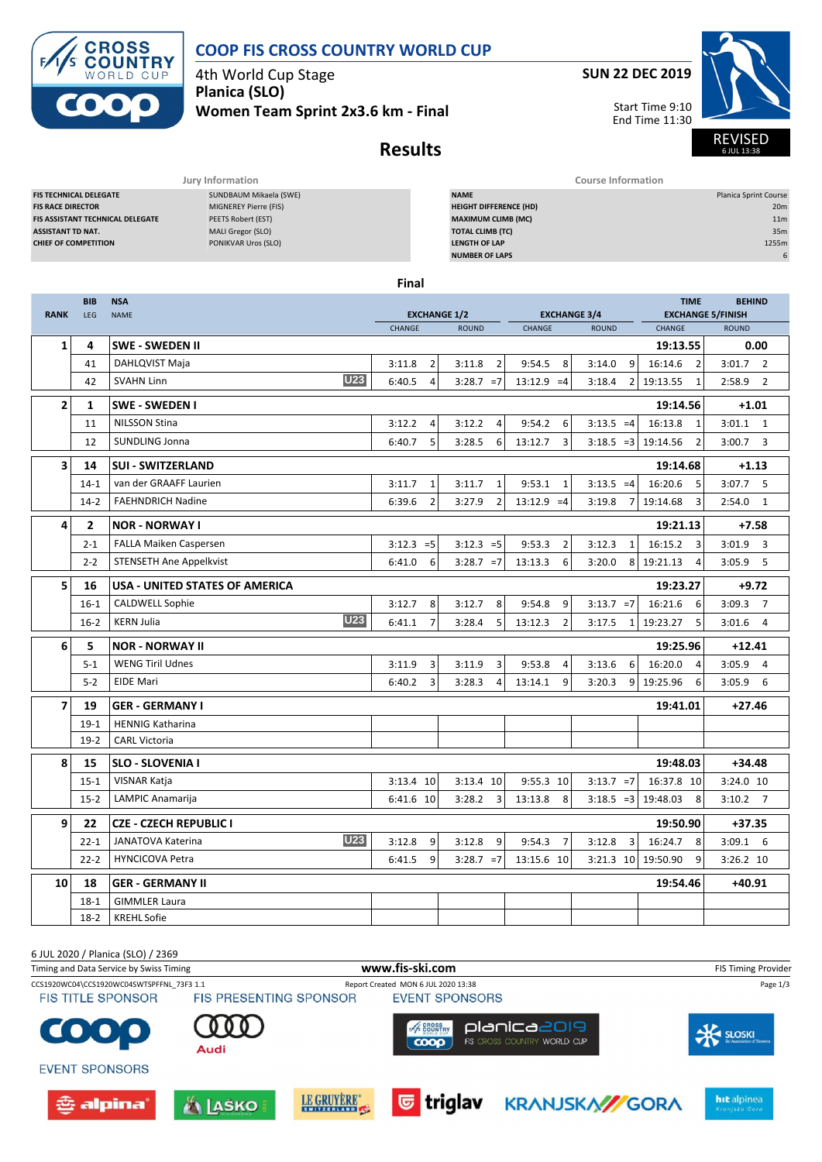

## **COOP FIS CROSS COUNTRY WORLD CUP**

4th World Cup Stage **Planica (SLO)**

**Women Team Sprint 2x3.6 km - Final**



Start Time 9:10 End Time 11:30



6 JUL 13:38

# **Results**

| Jury Information                        |                        |                               | <b>Course Information</b>    |
|-----------------------------------------|------------------------|-------------------------------|------------------------------|
| <b>FIS TECHNICAL DELEGATE</b>           | SUNDBAUM Mikaela (SWE) | <b>NAME</b>                   | <b>Planica Sprint Course</b> |
| <b>FIS RACE DIRECTOR</b>                | MIGNEREY Pierre (FIS)  | <b>HEIGHT DIFFERENCE (HD)</b> | 20m                          |
| <b>FIS ASSISTANT TECHNICAL DELEGATE</b> | PEETS Robert (EST)     | <b>MAXIMUM CLIMB (MC)</b>     | 11 <sub>m</sub>              |
| <b>ASSISTANT TD NAT.</b>                | MALI Gregor (SLO)      | <b>TOTAL CLIMB (TC)</b>       | 35m                          |
| <b>CHIEF OF COMPETITION</b>             | PONIKVAR Uros (SLO)    | <b>LENGTH OF LAP</b>          | 1255m                        |
|                                         |                        | <b>NUMBER OF LAPS</b>         |                              |
|                                         |                        |                               |                              |

**Final**

| <b>RANK</b>              | <b>BIB</b><br>LEG | <b>NSA</b><br><b>NAME</b>              | <b>TIME</b><br><b>EXCHANGE 1/2</b><br><b>EXCHANGE 3/4</b><br><b>EXCHANGE 5/FINISH</b> |                          |                           |                            |                                    | <b>BEHIND</b>            |  |
|--------------------------|-------------------|----------------------------------------|---------------------------------------------------------------------------------------|--------------------------|---------------------------|----------------------------|------------------------------------|--------------------------|--|
|                          |                   |                                        | CHANGE                                                                                | <b>ROUND</b>             | CHANGE                    | <b>ROUND</b>               | CHANGE                             | <b>ROUND</b>             |  |
| 1                        | 4                 | <b>SWE - SWEDEN II</b>                 |                                                                                       |                          |                           |                            | 19:13.55                           | 0.00                     |  |
|                          | 41                | DAHLQVIST Maja                         | $\overline{2}$<br>3:11.8                                                              | $\overline{2}$<br>3:11.8 | 9:54.5<br>8               | 9<br>3:14.0                | 16:14.6<br>$\overline{2}$          | $3:01.7$ 2               |  |
|                          | 42                | <b>U23</b><br><b>SVAHN Linn</b>        | 6:40.5<br>$\overline{4}$                                                              | $3:28.7 = 7$             | $13:12.9 = 4$             | 3:18.4<br>21               | 19:13.55<br>$\mathbf{1}$           | 2:58.9<br>$\overline{2}$ |  |
| 2                        | 1                 | SWE - SWEDEN I                         |                                                                                       |                          |                           |                            | 19:14.56                           | $+1.01$                  |  |
|                          | 11                | <b>NILSSON Stina</b>                   | 3:12.2<br>4                                                                           | 3:12.2<br>$\overline{4}$ | 9:54.2<br>6               | $3:13.5 = 4$               | 16:13.8<br>1                       | $3:01.1$ 1               |  |
|                          | 12                | SUNDLING Jonna                         | 5<br>6:40.7                                                                           | 3:28.5<br>6              | 13:12.7<br>3              | $3:18.5 = 3 \mid 19:14.56$ | $\overline{2}$                     | 3:00.7<br>3              |  |
| 3                        | 14                | <b>SUI - SWITZERLAND</b>               |                                                                                       |                          |                           |                            | 19:14.68                           | $+1.13$                  |  |
|                          | $14 - 1$          | van der GRAAFF Laurien                 | 3:11.7<br>$\mathbf{1}$                                                                | 3:11.7<br>$\mathbf{1}$   | 9:53.1<br>1               | $3:13.5 = 4$               | 16:20.6<br>5                       | $3:07.7$ 5               |  |
|                          | $14-2$            | <b>FAEHNDRICH Nadine</b>               | $\overline{2}$<br>6:39.6                                                              | $\overline{2}$<br>3:27.9 | $13:12.9 = 4$             | 3:19.8<br>7 <sup>1</sup>   | 19:14.68<br>3                      | 2:54.0<br>1              |  |
| 4                        | $\overline{2}$    | <b>NOR - NORWAY I</b>                  |                                                                                       |                          |                           |                            | 19:21.13                           | $+7.58$                  |  |
|                          | $2 - 1$           | FALLA Maiken Caspersen                 | $3:12.3 = 5$                                                                          | $3:12.3 = 5$             | $\overline{2}$<br>9:53.3  | $\mathbf{1}$<br>3:12.3     | 16:15.2<br>$\overline{\mathbf{3}}$ | $3:01.9$ 3               |  |
|                          | $2 - 2$           | <b>STENSETH Ane Appelkvist</b>         | 6:41.0<br>6                                                                           | $3:28.7 = 7$             | 13:13.3<br>6              | 3:20.0                     | 8 19:21.13<br>$\overline{4}$       | $3:05.9$ 5               |  |
| 5                        | 16                | <b>USA - UNITED STATES OF AMERICA</b>  |                                                                                       |                          |                           |                            | 19:23.27                           | $+9.72$                  |  |
|                          | $16-1$            | <b>CALDWELL Sophie</b>                 | 3:12.7<br>8                                                                           | 3:12.7<br>8              | 9:54.8<br>9               | $3:13.7 = 7$               | 16:21.6<br>6                       | $3:09.3$ 7               |  |
|                          | $16-2$            | <b>U23</b><br><b>KERN Julia</b>        | 6:41.1                                                                                | 5<br>3:28.4              | 13:12.3<br>$\overline{2}$ | 3:17.5<br>$1 \vert$        | 19:23.27<br>5                      | 3:01.6<br>$\overline{4}$ |  |
| 6                        | 5                 | <b>NOR - NORWAY II</b>                 |                                                                                       |                          |                           |                            | 19:25.96                           | $+12.41$                 |  |
|                          | $5 - 1$           | <b>WENG Tiril Udnes</b>                | 3:11.9<br>3                                                                           | 3:11.9<br>3              | 9:53.8<br>4               | 6<br>3:13.6                | 16:20.0<br>$\overline{4}$          | $3:05.9$ 4               |  |
|                          | $5-2$             | <b>EIDE Mari</b>                       | 6:40.2<br>$\overline{3}$                                                              | 3:28.3<br>$\Delta$       | 13:14.1<br>9              | 3:20.3<br>9 <sub>l</sub>   | 19:25.96<br>6                      | 3:05.9<br>6              |  |
| $\overline{\phantom{a}}$ | 19                | <b>GER - GERMANY I</b>                 |                                                                                       |                          |                           |                            | 19:41.01                           | $+27.46$                 |  |
|                          | $19-1$            | <b>HENNIG Katharina</b>                |                                                                                       |                          |                           |                            |                                    |                          |  |
|                          | $19-2$            | <b>CARL Victoria</b>                   |                                                                                       |                          |                           |                            |                                    |                          |  |
| 8                        | 15                | <b>SLO - SLOVENIA I</b>                |                                                                                       |                          |                           |                            | 19:48.03                           | $+34.48$                 |  |
|                          | $15 - 1$          | VISNAR Katja                           | 3:13.4 10                                                                             | 3:13.4 10                | 9:55.3 10                 | $3:13.7 = 7$               | 16:37.8 10                         | 3:24.0 10                |  |
|                          | $15 - 2$          | LAMPIC Anamarija                       | 6:41.6 10                                                                             | $\overline{3}$<br>3:28.2 | 13:13.8<br>8              | $3:18.5 = 3$               | 19:48.03<br>8                      | $3:10.2$ 7               |  |
| 9                        | 22                | <b>CZE - CZECH REPUBLIC I</b>          |                                                                                       |                          |                           |                            | 19:50.90                           | $+37.35$                 |  |
|                          | $22 - 1$          | <b>U23</b><br><b>JANATOVA Katerina</b> | 3:12.8<br>9                                                                           | 3:12.8<br>9              | 9:54.3<br>$\overline{7}$  | 3:12.8<br>3                | 16:24.7<br>8                       | $3:09.1$ 6               |  |
|                          | $22 - 2$          | <b>HYNCICOVA Petra</b>                 | 9<br>6:41.5                                                                           | $3:28.7 = 7$             | 13:15.6 10                | 3:21.3 10 19:50.90         | 9                                  | 3:26.2 10                |  |
| 10                       | 18                | <b>GER - GERMANY II</b>                |                                                                                       |                          |                           |                            | 19:54.46                           | +40.91                   |  |
|                          | $18-1$            | <b>GIMMLER Laura</b>                   |                                                                                       |                          |                           |                            |                                    |                          |  |
|                          | $18 - 2$          | <b>KREHL Sofie</b>                     |                                                                                       |                          |                           |                            |                                    |                          |  |

6 JUL 2020 / Planica (SLO) / 2369

Timing and Data Service by Swiss Timing **WWW.fis-Ski.com www.fis-ski.com** FIS Timing Provider CCS1920WC04\CCS1920WC04SWTSPFFNL\_73F3 1.1 Report Created MON 6 JUL 2020 13:38 Page 1/3<br>FIS TITLE SPONSOR FIS PRESENTING SPONSOR EVENT SPONSORS **FIS TITLE SPONSOR EVENT SPONSORS SECROSS** planica2019 E SLOSKI G  $\bullet$  $0000$ FIS CROSS COUNTRY WORLD CUP Audi **EVENT SPONSORS** LE GRUYÈRE\* **©**triglav **KRANJSKA//GORA** hit alpinea 츈 alpina' **ALASKO**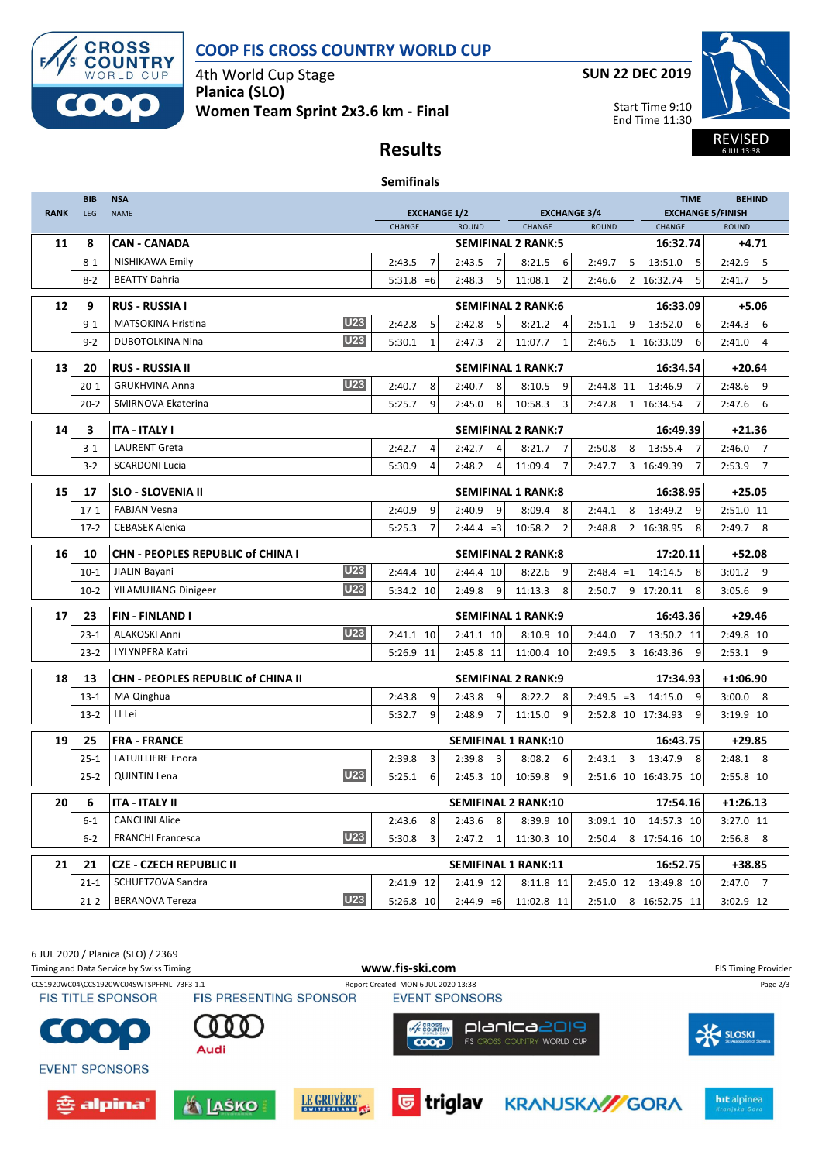

## **COOP FIS CROSS COUNTRY WORLD CUP**

4th World Cup Stage **Planica (SLO) Women Team Sprint 2x3.6 km - Final** **SUN 22 DEC 2019**

Start Time 9:10 End Time 11:30



6 JUL 13:38

## **Results**

### **Semifinals**

|             | <b>BIB</b> | <b>NSA</b>                                | <b>TIME</b>                                                                                    |                            |                           |                          |                                          | <b>BEHIND</b>            |  |
|-------------|------------|-------------------------------------------|------------------------------------------------------------------------------------------------|----------------------------|---------------------------|--------------------------|------------------------------------------|--------------------------|--|
| <b>RANK</b> | LEG        | <b>NAME</b>                               | <b>EXCHANGE 1/2</b><br><b>EXCHANGE 3/4</b><br>CHANGE<br><b>ROUND</b><br>CHANGE<br><b>ROUND</b> |                            |                           | CHANGE                   | <b>EXCHANGE 5/FINISH</b><br><b>ROUND</b> |                          |  |
| 11          | 8          | <b>CAN - CANADA</b>                       |                                                                                                | <b>SEMIFINAL 2 RANK:5</b>  |                           |                          | 16:32.74                                 | $+4.71$                  |  |
|             | $8 - 1$    | NISHIKAWA Emily                           | 2:43.5<br>7                                                                                    | 2:43.5<br>$\overline{7}$   | 8:21.5<br>6               | 2:49.7<br>5              | 13:51.0<br>5                             | 2:42.9<br>- 5            |  |
|             | $8 - 2$    | <b>BEATTY Dahria</b>                      | $5:31.8 = 6$                                                                                   | 2:48.3<br>5                | 11:08.1<br>$\overline{2}$ | 2:46.6<br>$\overline{2}$ | 16:32.74<br>5                            | $2:41.7$ 5               |  |
| 12          | 9          | <b>RUS - RUSSIA I</b>                     |                                                                                                | <b>SEMIFINAL 2 RANK:6</b>  |                           |                          | 16:33.09                                 | $+5.06$                  |  |
|             | $9 - 1$    | <b>U23</b><br><b>MATSOKINA Hristina</b>   | 2:42.8<br>5                                                                                    | 2:42.8<br>5                | 8:21.2<br>4               | 9<br>2:51.1              | 13:52.0<br>6                             | 2:44.3<br>6              |  |
|             | $9 - 2$    | <b>U23</b><br><b>DUBOTOLKINA Nina</b>     | 5:30.1<br>1                                                                                    | 2:47.3<br>$\overline{2}$   | 11:07.7<br>1              | 2:46.5<br>1              | 16:33.09<br>6                            | 2:41.0<br>$\overline{4}$ |  |
| 13          | 20         | <b>RUS - RUSSIA II</b>                    |                                                                                                | <b>SEMIFINAL 1 RANK:7</b>  |                           |                          | 16:34.54                                 | $+20.64$                 |  |
|             | $20 - 1$   | <b>U23</b><br><b>GRUKHVINA Anna</b>       | 2:40.7<br>8                                                                                    | 2:40.7<br>8                | 8:10.5<br>9               | 2:44.8 11                | 13:46.9<br>$\overline{7}$                | 2:48.6<br>9              |  |
|             | $20 - 2$   | SMIRNOVA Ekaterina                        | 9<br>5:25.7                                                                                    | 8<br>2:45.0                | 10:58.3<br>3              | 2:47.8<br>$\mathbf{1}$   | 16:34.54<br>7                            | 2:47.6<br>6              |  |
| 14          | 3          | <b>ITA - ITALY I</b>                      |                                                                                                | <b>SEMIFINAL 2 RANK:7</b>  |                           |                          | 16:49.39                                 | $+21.36$                 |  |
|             | $3 - 1$    | <b>LAURENT Greta</b>                      | 2:42.7<br>$\overline{4}$                                                                       | 2:42.7<br>$\overline{4}$   | 8:21.7<br>$\overline{7}$  | 2:50.8<br>8              | 13:55.4<br>$\overline{7}$                | 2:46.0<br>$\overline{7}$ |  |
|             | $3 - 2$    | <b>SCARDONI Lucia</b>                     | 5:30.9<br>4                                                                                    | 2:48.2<br>4                | 11:09.4<br>7              | 2:47.7                   | 3 16:49.39<br>7                          | 2:53.9<br>$\overline{7}$ |  |
| 15          | 17         | <b>SLO - SLOVENIA II</b>                  |                                                                                                | <b>SEMIFINAL 1 RANK:8</b>  |                           |                          | 16:38.95                                 | $+25.05$                 |  |
|             | $17 - 1$   | <b>FABJAN Vesna</b>                       | 2:40.9<br>9                                                                                    | 9<br>2:40.9                | 8:09.4<br>8               | 2:44.1<br>8              | 13:49.2<br>9                             | 2:51.0 11                |  |
|             | $17-2$     | <b>CEBASEK Alenka</b>                     | 5:25.3<br>$\overline{7}$                                                                       | $2:44.4 = 3$               | 10:58.2<br>$\overline{2}$ | 2:48.8<br>$\overline{2}$ | 16:38.95<br>8                            | $2:49.7$ 8               |  |
| 16          | 10         | CHN - PEOPLES REPUBLIC of CHINA I         |                                                                                                | <b>SEMIFINAL 2 RANK:8</b>  |                           |                          | 17:20.11                                 | $+52.08$                 |  |
|             | $10-1$     | <b>U23</b><br>JIALIN Bayani               | 2:44.4 10                                                                                      | 2:44.4 10                  | 8:22.6<br>9               | $2:48.4 = 1$             | 14:14.5<br>8                             | $3:01.2$ 9               |  |
|             | $10-2$     | <b>U23</b><br>YILAMUJIANG Dinigeer        | 5:34.2 10                                                                                      | 2:49.8<br>9                | 11:13.3<br>8              | 2:50.7<br>9              | 17:20.11<br>8                            | 9<br>3:05.6              |  |
| 17          | 23         | <b>FIN-FINLAND I</b>                      |                                                                                                | <b>SEMIFINAL 1 RANK:9</b>  |                           |                          | 16:43.36                                 | $+29.46$                 |  |
|             | $23 - 1$   | <b>U23</b><br><b>ALAKOSKI Anni</b>        | 2:41.1 10                                                                                      | 2:41.1 10                  | 8:10.9 10                 | 2:44.0<br>$\overline{7}$ | 13:50.2 11                               | 2:49.8 10                |  |
|             | $23 - 2$   | LYLYNPERA Katri                           | 5:26.9 11                                                                                      | 2:45.8 11                  | 11:00.4 10                | 2:49.5<br>3              | 16:43.36<br>9                            | $2:53.1$ 9               |  |
| 18          | 13         | <b>CHN - PEOPLES REPUBLIC of CHINA II</b> |                                                                                                | <b>SEMIFINAL 2 RANK:9</b>  |                           |                          | 17:34.93                                 | $+1:06.90$               |  |
|             | $13 - 1$   | MA Qinghua                                | 2:43.8<br>9                                                                                    | 2:43.8<br>9                | 8:22.2<br>8               | $2:49.5 = 3$             | 14:15.0<br>9                             | $3:00.0$ 8               |  |
|             | $13-2$     | LI Lei                                    | 5:32.7<br>9                                                                                    | 2:48.9<br>$\overline{7}$   | 11:15.0<br>9              | 2:52.8 10 17:34.93       | 9                                        | 3:19.9 10                |  |
| 19          | 25         | <b>FRA - FRANCE</b>                       |                                                                                                | <b>SEMIFINAL 1 RANK:10</b> |                           |                          | 16:43.75                                 | $+29.85$                 |  |
|             | $25 - 1$   | <b>LATUILLIERE Enora</b>                  | 2:39.8<br>3                                                                                    | 3<br>2:39.8                | 8:08.2<br>6               | 2:43.1<br>3              | 13:47.9<br>8                             | $2:48.1$ 8               |  |
|             | $25 - 2$   | <b>U23</b><br><b>QUINTIN Lena</b>         | 5:25.1<br>6                                                                                    | 2:45.3 10                  | 10:59.8<br>9              | 2:51.6 10                | 16:43.75 10                              | 2:55.8 10                |  |
| 20          | 6          | ITA - ITALY II                            |                                                                                                | <b>SEMIFINAL 2 RANK:10</b> |                           |                          | 17:54.16                                 | $+1:26.13$               |  |
|             | $6 - 1$    | <b>CANCLINI Alice</b>                     | 2:43.6<br>8                                                                                    | 2:43.6<br>8                | 8:39.9 10                 | 3:09.1 10                | 14:57.3 10                               | 3:27.0 11                |  |
|             | $6-2$      | <b>U23</b><br><b>FRANCHI Francesca</b>    | 5:30.8<br>3                                                                                    | 2:47.2<br>$\mathbf{1}$     | 11:30.3 10                | 2:50.4<br>8              | 17:54.16 10                              | 2:56.8<br>- 8            |  |
| 21          | 21         | <b>CZE - CZECH REPUBLIC II</b>            |                                                                                                | <b>SEMIFINAL 1 RANK:11</b> |                           |                          | 16:52.75                                 | $+38.85$                 |  |
|             | $21 - 1$   | SCHUETZOVA Sandra                         | 2:41.9 12                                                                                      | 2:41.9 12                  | 8:11.8 11                 | 2:45.0 12                | 13:49.8 10                               | $2:47.0$ 7               |  |
|             | $21 - 2$   | <b>U23</b><br><b>BERANOVA Tereza</b>      | 5:26.8 10                                                                                      | $2:44.9 = 6$               | 11:02.8 11                | 2:51.0                   | 8 16:52.75 11                            | 3:02.9 12                |  |

6 JUL 2020 / Planica (SLO) / 2369 Timing and Data Service by Swiss Timing **WWW.fis-Ski.com www.fis-ski.com** FIS Timing Provider CCS1920WC04\CCS1920WC04SWTSPFFNL\_73F3 1.1 Report Created MON 6 JUL 2020 13:38 Page 2/3<br>FIS TITLE SPONSOR FIS PRESENTING SPONSOR EVENT SPONSORS **EVENT SPONSORS SECROSS** planica2019 E SLOSKI G  $\bullet$  $0000$ FIS CROSS COUNTRY WORLD CUP Audi **EVENT SPONSORS** LE GRUYÈRE\* **©**triglav **KRANJSKA//GORA** hit alpinea 츈 alpina' **ALASKO**